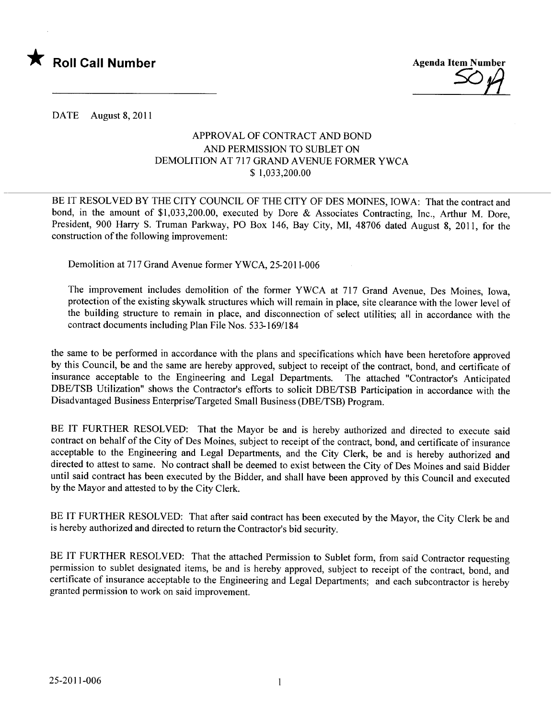



DATE August 8, 2011

## APPROV AL OF CONTRACT AND BOND AND PERMISSION TO SUBLET ON DEMOLITION AT 717 GRAND AVENUE FORMER YWCA \$ 1,033,200.00

BE IT RESOLVED BY THE CITY COUNCIL OF THE CITY OF DES MOINES, IOWA: That the contract and bond, in the amount of \$1,033,200.00, executed by Dore & Associates Contracting, Inc., Arthur M. Dore, President, 900 Harry S. Truman Parkway, PO Box 146, Bay City, MI, 48706 dated August 8, 2011, for the construction of the following improvement:

Demolition at 717 Grand Avenue former YWCA, 25-2011-006

The improvement includes demolition of the former YWCA at 717 Grand Avenue, Des Moines, Iowa, protection of the existing skywalk structures which will remain in place, site clearance with the lower level of the building structure to remain in place, and disconnection of select utilties; all in accordance with the contract documents including Plan File Nos. 533-169/184

the same to be performed in accordance with the plans and specifications which have been heretofore approved by this Council, be and the same are hereby approved, subject to receipt of the contract, bond, and certificate of insurance acceptable to the Engineering and Legal Departments. The attached "Contractor's Anticipated DBE/TSB Utilzation" shows the Contractor's efforts to solicit DBE/TSB Participation in accordance with the Disadvantaged Business Enterprise/Targeted Small Business (DBE/TSB) Program.

BE IT FURTHER RESOLVED: That the Mayor be and is hereby authorized and directed to execute said contract on behalf of the City of Des Moines, subject to receipt of the contract, bond, and certificate of insurance acceptable to the Engineering and Legal Departments, and the City Clerk, be and is hereby authorized and directed to attest to same. No contract shall be deemed to exist between the City of Des Moines and said Bidder until said contract has been executed by the Bidder, and shall have been approved by this Council and executed by the Mayor and attested to by the City Clerk.

BE IT FURTHER RESOLVED: That after said contract has been executed by the Mayor, the City Clerk be and is hereby authorized and directed to return the Contractor's bid security.

BE IT FURTHER RESOLVED: That the attached Permission to Sublet form, from said Contractor requesting permission to sublet designated items, be and is hereby approved, subject to receipt of the contract, bond, and certificate of insurance acceptable to the Engineering and Legal Departments; and each subcontractor is hereby granted permission to work on said improvement.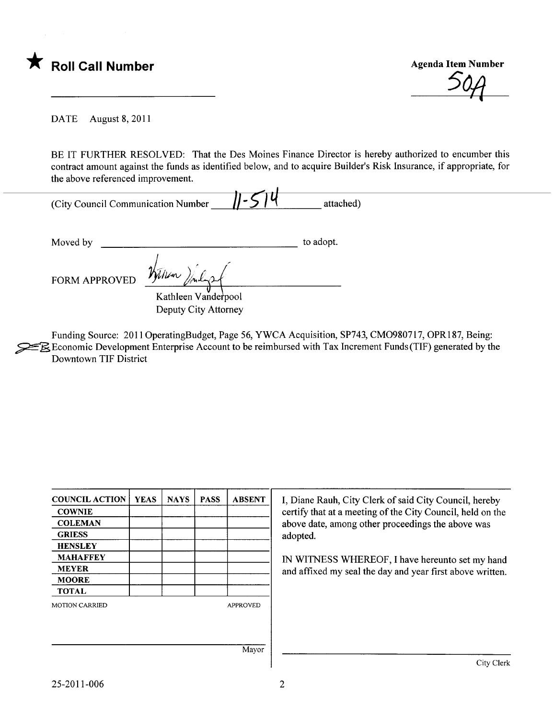

\* Roll Call Number<br>
Agenda Item Number<br>
504

DATE August 8, 2011

BE IT FURTHER RESOLVED: That the Des Moines Finance Director is hereby authorized to encumber this contract amount against the funds as identified below, and to acquire Builder's Risk Insurance, if appropriate, for the above referenced improvement.

| (City Council Communication Number | attached) |
|------------------------------------|-----------|

Moved by to adopt.

FORM APPROVED

Kathleen Vanderpool Deputy City Attorney

Funding Source: 2011 OperatingBudget, Page 56, YWCA Acquisition, SP743, CM0980717, OPR187, Being:  $\geq \mathbb{R}$  Economic Development Enterprise Account to be reimbursed with Tax Increment Funds (TIF) generated by the Downtown TIF District

| <b>COUNCIL ACTION</b> | <b>YEAS</b> | <b>NAYS</b> | <b>PASS</b> | <b>ABSENT</b>   | I, Diane Rauh, City Clerk of said City Council, hereby     |  |
|-----------------------|-------------|-------------|-------------|-----------------|------------------------------------------------------------|--|
| <b>COWNIE</b>         |             |             |             |                 | certify that at a meeting of the City Council, held on the |  |
| <b>COLEMAN</b>        |             |             |             |                 | above date, among other proceedings the above was          |  |
| <b>GRIESS</b>         |             |             |             |                 | adopted.                                                   |  |
| <b>HENSLEY</b>        |             |             |             |                 |                                                            |  |
| <b>MAHAFFEY</b>       |             |             |             |                 | IN WITNESS WHEREOF, I have hereunto set my hand            |  |
| <b>MEYER</b>          |             |             |             |                 | and affixed my seal the day and year first above written.  |  |
| <b>MOORE</b>          |             |             |             |                 |                                                            |  |
| <b>TOTAL</b>          |             |             |             |                 |                                                            |  |
| <b>MOTION CARRIED</b> |             |             |             | <b>APPROVED</b> |                                                            |  |
|                       |             |             |             |                 |                                                            |  |
|                       |             |             |             | Mayor           |                                                            |  |
|                       |             |             |             |                 | City Clerk                                                 |  |